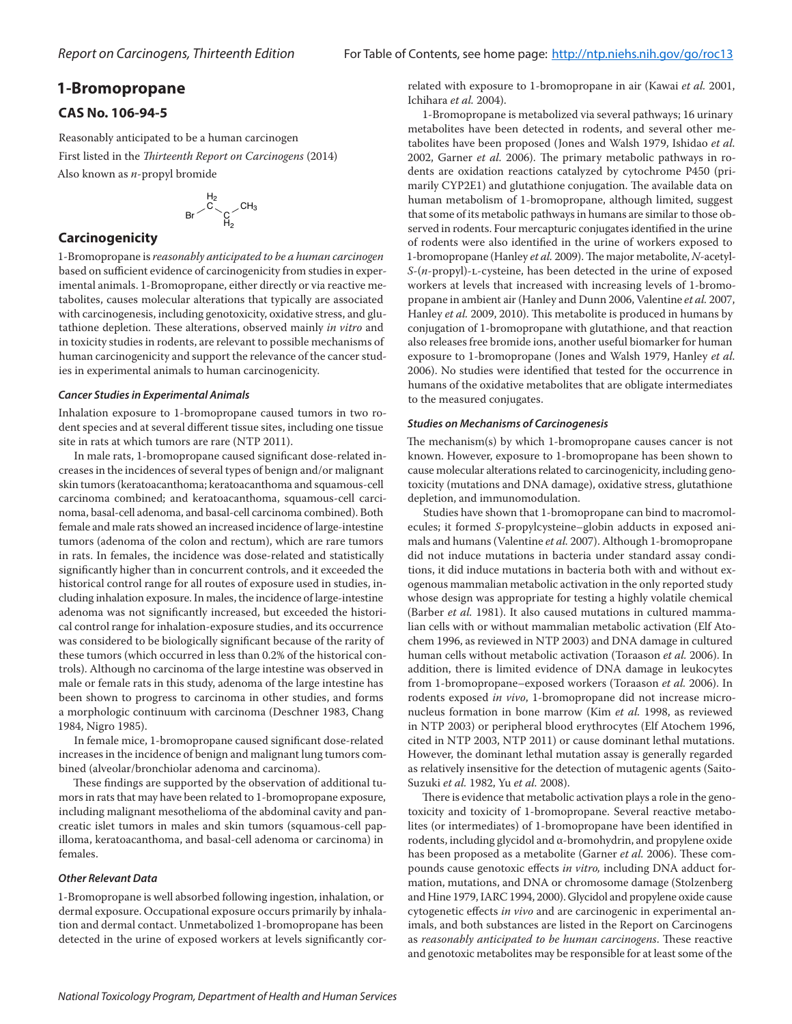# **1-Bromopropane**

# **CAS No. 106-94-5**

Reasonably anticipated to be a human carcinogen First listed in the *Thirteenth Report on Carcinogens* (2014) Also known as *n*-propyl bromide

$$
Br \smallsetminus \overset{H_2}{\underset{H_2}{\overset{G}{\sum}}} CH_3}
$$

# **Carcinogenicity**

1-Bromopropane is *reasonably anticipated to be a human carcinogen* based on sufficient evidence of carcinogenicity from studies in experimental animals. 1-Bromopropane, either directly or via reactive metabolites, causes molecular alterations that typically are associated with carcinogenesis, including genotoxicity, oxidative stress, and glutathione depletion. These alterations, observed mainly *in vitro* and in toxicity studies in rodents, are relevant to possible mechanisms of human carcinogenicity and support the relevance of the cancer studies in experimental animals to human carcinogenicity.

## *Cancer Studies in Experimental Animals*

Inhalation exposure to 1-bromopropane caused tumors in two rodent species and at several different tissue sites, including one tissue site in rats at which tumors are rare (NTP 2011).

In male rats, 1-bromopropane caused significant dose-related increases in the incidences of several types of benign and/or malignant skin tumors (keratoacanthoma; keratoacanthoma and squamous-cell carcinoma combined; and keratoacanthoma, squamous-cell carcinoma, basal-cell adenoma, and basal-cell carcinoma combined). Both female and male rats showed an increased incidence of large-intestine tumors (adenoma of the colon and rectum), which are rare tumors in rats. In females, the incidence was dose-related and statistically significantly higher than in concurrent controls, and it exceeded the historical control range for all routes of exposure used in studies, including inhalation exposure. In males, the incidence of large-intestine adenoma was not significantly increased, but exceeded the historical control range for inhalation-exposure studies, and its occurrence was considered to be biologically significant because of the rarity of these tumors (which occurred in less than 0.2% of the historical controls). Although no carcinoma of the large intestine was observed in male or female rats in this study, adenoma of the large intestine has been shown to progress to carcinoma in other studies, and forms a morphologic continuum with carcinoma (Deschner 1983, Chang 1984, Nigro 1985).

In female mice, 1-bromopropane caused significant dose-related increases in the incidence of benign and malignant lung tumors combined (alveolar/bronchiolar adenoma and carcinoma).

These findings are supported by the observation of additional tumors in rats that may have been related to 1-bromopropane exposure, including malignant mesothelioma of the abdominal cavity and pancreatic islet tumors in males and skin tumors (squamous-cell papilloma, keratoacanthoma, and basal-cell adenoma or carcinoma) in females.

## *Other Relevant Data*

1-Bromopropane is well absorbed following ingestion, inhalation, or dermal exposure. Occupational exposure occurs primarily by inhalation and dermal contact. Unmetabolized 1-bromopropane has been detected in the urine of exposed workers at levels significantly cor-

related with exposure to 1-bromopropane in air (Kawai *et al.* 2001, Ichihara *et al.* 2004).

1-Bromopropane is metabolized via several pathways; 16 urinary metabolites have been detected in rodents, and several other metabolites have been proposed (Jones and Walsh 1979, Ishidao *et al.*  2002, Garner *et al.* 2006). The primary metabolic pathways in rodents are oxidation reactions catalyzed by cytochrome P450 (primarily CYP2E1) and glutathione conjugation. The available data on human metabolism of 1-bromopropane, although limited, suggest that some of its metabolic pathways in humans are similar to those observed in rodents. Four mercapturic conjugates identified in the urine of rodents were also identified in the urine of workers exposed to 1-bromopropane (Hanley *et al.* 2009). The major metabolite, *N*-acetyl-*S*-(*n*-propyl)-L-cysteine, has been detected in the urine of exposed workers at levels that increased with increasing levels of 1-bromopropane in ambient air (Hanley and Dunn 2006, Valentine *et al.* 2007, Hanley *et al.* 2009, 2010). This metabolite is produced in humans by conjugation of 1-bromopropane with glutathione, and that reaction also releases free bromide ions, another useful biomarker for human exposure to 1-bromopropane (Jones and Walsh 1979, Hanley *et al.* 2006). No studies were identified that tested for the occurrence in humans of the oxidative metabolites that are obligate intermediates to the measured conjugates.

## *Studies on Mechanisms of Carcinogenesis*

The mechanism(s) by which 1-bromopropane causes cancer is not known. However, exposure to 1-bromopropane has been shown to cause molecular alterations related to carcinogenicity, including genotoxicity (mutations and DNA damage), oxidative stress, glutathione depletion, and immunomodulation.

Studies have shown that 1-bromopropane can bind to macromolecules; it formed *S*-propylcysteine–globin adducts in exposed animals and humans (Valentine *et al.* 2007). Although 1-bromopropane did not induce mutations in bacteria under standard assay conditions, it did induce mutations in bacteria both with and without exogenous mammalian metabolic activation in the only reported study whose design was appropriate for testing a highly volatile chemical (Barber *et al.* 1981). It also caused mutations in cultured mammalian cells with or without mammalian metabolic activation (Elf Atochem 1996, as reviewed in NTP 2003) and DNA damage in cultured human cells without metabolic activation (Toraason *et al.* 2006). In addition, there is limited evidence of DNA damage in leukocytes from 1-bromopropane–exposed workers (Toraason *et al.* 2006). In rodents exposed *in vivo*, 1-bromopropane did not increase micronucleus formation in bone marrow (Kim *et al.* 1998, as reviewed in NTP 2003) or peripheral blood erythrocytes (Elf Atochem 1996, cited in NTP 2003, NTP 2011) or cause dominant lethal mutations. However, the dominant lethal mutation assay is generally regarded as relatively insensitive for the detection of mutagenic agents (Saito-Suzuki *et al.* 1982, Yu *et al.* 2008).

There is evidence that metabolic activation plays a role in the genotoxicity and toxicity of 1-bromopropane. Several reactive metabolites (or intermediates) of 1-bromopropane have been identified in rodents, including glycidol and α-bromohydrin, and propylene oxide has been proposed as a metabolite (Garner *et al.* 2006). These compounds cause genotoxic effects *in vitro,* including DNA adduct formation, mutations, and DNA or chromosome damage (Stolzenberg and Hine 1979, IARC 1994, 2000). Glycidol and propylene oxide cause cytogenetic effects *in vivo* and are carcinogenic in experimental animals, and both substances are listed in the Report on Carcinogens as *reasonably anticipated to be human carcinogens*. These reactive and genotoxic metabolites may be responsible for at least some of the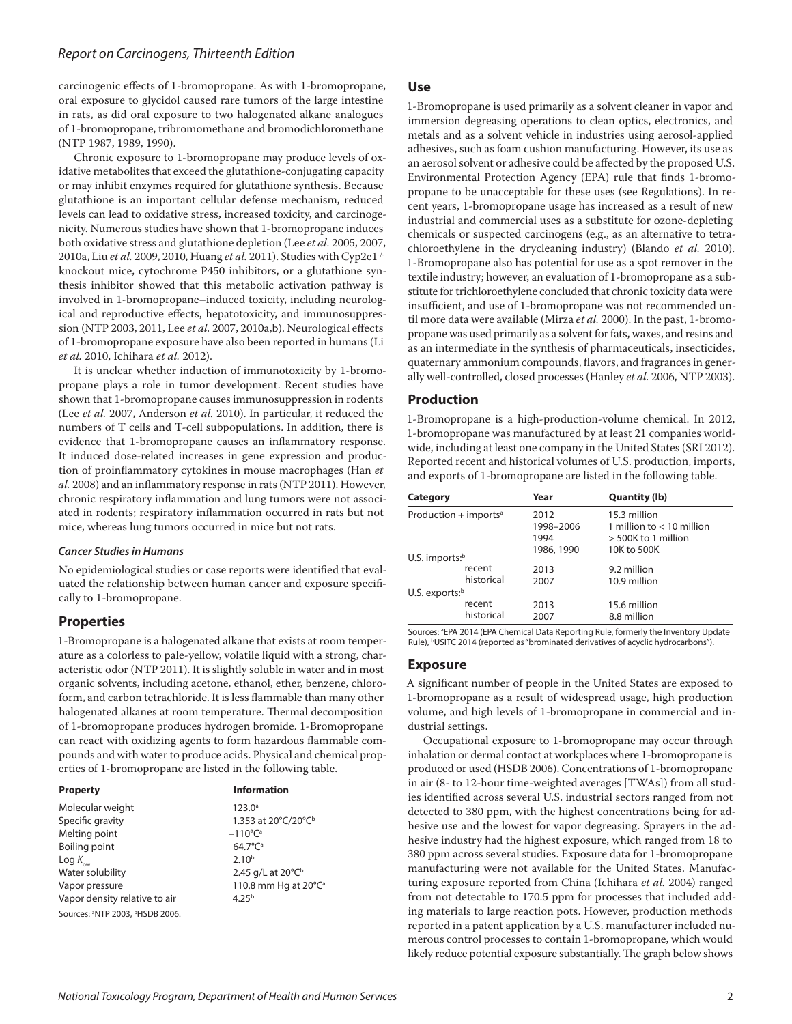carcinogenic effects of 1-bromopropane. As with 1-bromopropane, oral exposure to glycidol caused rare tumors of the large intestine in rats, as did oral exposure to two halogenated alkane analogues of 1-bromopropane, tribromomethane and bromodichloromethane (NTP 1987, 1989, 1990).

Chronic exposure to 1-bromopropane may produce levels of oxidative metabolites that exceed the glutathione-conjugating capacity or may inhibit enzymes required for glutathione synthesis. Because glutathione is an important cellular defense mechanism, reduced levels can lead to oxidative stress, increased toxicity, and carcinogenicity. Numerous studies have shown that 1-bromopropane induces both oxidative stress and glutathione depletion (Lee *et al.* 2005, 2007, 2010a, Liu *et al.* 2009, 2010, Huang *et al.* 2011). Studies with Cyp2e1-/ knockout mice, cytochrome P450 inhibitors, or a glutathione synthesis inhibitor showed that this metabolic activation pathway is involved in 1-bromopropane–induced toxicity, including neurological and reproductive effects, hepatotoxicity, and immunosuppression (NTP 2003, 2011, Lee *et al.* 2007, 2010a,b). Neurological effects of 1-bromopropane exposure have also been reported in humans (Li *et al.* 2010, Ichihara *et al.* 2012).

It is unclear whether induction of immunotoxicity by 1-bromopropane plays a role in tumor development. Recent studies have shown that 1-bromopropane causes immunosuppression in rodents (Lee *et al.* 2007, Anderson *et al.* 2010). In particular, it reduced the numbers of T cells and T-cell subpopulations. In addition, there is evidence that 1-bromopropane causes an inflammatory response. It induced dose-related increases in gene expression and production of proinflammatory cytokines in mouse macrophages (Han *et al.* 2008) and an inflammatory response in rats (NTP 2011). However, chronic respiratory inflammation and lung tumors were not associated in rodents; respiratory inflammation occurred in rats but not mice, whereas lung tumors occurred in mice but not rats.

### *Cancer Studies in Humans*

No epidemiological studies or case reports were identified that evaluated the relationship between human cancer and exposure specifically to 1-bromopropane.

### **Properties**

1-Bromopropane is a halogenated alkane that exists at room temperature as a colorless to pale-yellow, volatile liquid with a strong, characteristic odor (NTP 2011). It is slightly soluble in water and in most organic solvents, including acetone, ethanol, ether, benzene, chloroform, and carbon tetrachloride. It is less flammable than many other halogenated alkanes at room temperature. Thermal decomposition of 1-bromopropane produces hydrogen bromide. 1-Bromopropane can react with oxidizing agents to form hazardous flammable compounds and with water to produce acids. Physical and chemical properties of 1-bromopropane are listed in the following table.

| <b>Property</b>                                         | <b>Information</b>               |  |
|---------------------------------------------------------|----------------------------------|--|
| Molecular weight                                        | $123.0^{\circ}$                  |  |
| Specific gravity                                        | 1.353 at 20°C/20°C <sup>b</sup>  |  |
| Melting point                                           | $-110^{\circ}$ C <sup>a</sup>    |  |
| Boiling point                                           | $64.7^{\circ}C^{a}$              |  |
| Log $K_{_{\rm{ow}}}$                                    | $2.10^{b}$                       |  |
| Water solubility                                        | 2.45 g/L at 20°C <sup>b</sup>    |  |
| Vapor pressure                                          | 110.8 mm Hg at 20°C <sup>a</sup> |  |
| Vapor density relative to air                           | $4.25^{b}$                       |  |
| Sources: <sup>a</sup> NTP 2003, <sup>b</sup> HSDB 2006. |                                  |  |

**Use**

1-Bromopropane is used primarily as a solvent cleaner in vapor and immersion degreasing operations to clean optics, electronics, and metals and as a solvent vehicle in industries using aerosol-applied adhesives, such as foam cushion manufacturing. However, its use as an aerosol solvent or adhesive could be affected by the proposed U.S. Environmental Protection Agency (EPA) rule that finds 1-bromopropane to be unacceptable for these uses (see Regulations). In recent years, 1-bromopropane usage has increased as a result of new industrial and commercial uses as a substitute for ozone-depleting chemicals or suspected carcinogens (e.g., as an alternative to tetrachloroethylene in the drycleaning industry) (Blando *et al.* 2010). 1-Bromopropane also has potential for use as a spot remover in the textile industry; however, an evaluation of 1-bromopropane as a substitute for trichloroethylene concluded that chronic toxicity data were insufficient, and use of 1-bromopropane was not recommended until more data were available (Mirza *et al.* 2000). In the past, 1-bromopropane was used primarily as a solvent for fats, waxes, and resins and as an intermediate in the synthesis of pharmaceuticals, insecticides, quaternary ammonium compounds, flavors, and fragrances in generally well-controlled, closed processes (Hanley *et al.* 2006, NTP 2003).

### **Production**

1-Bromopropane is a high-production-volume chemical. In 2012, 1-bromopropane was manufactured by at least 21 companies worldwide, including at least one company in the United States (SRI 2012). Reported recent and historical volumes of U.S. production, imports, and exports of 1-bromopropane are listed in the following table.

| Category                            |                      | Year                      | Quantity (lb)                                                        |
|-------------------------------------|----------------------|---------------------------|----------------------------------------------------------------------|
| Production $+$ imports <sup>a</sup> |                      | 2012<br>1998-2006<br>1994 | 15.3 million<br>1 million to $< 10$ million<br>$>$ 500K to 1 million |
| $U.S.$ imports: $b$                 |                      | 1986, 1990                | 10K to 500K                                                          |
|                                     | recent<br>historical | 2013<br>2007              | 9.2 million<br>10.9 million                                          |
| U.S. exports: $b$                   |                      |                           |                                                                      |
|                                     | recent<br>historical | 2013<br>2007              | 15.6 million<br>8.8 million                                          |

Sources: <sup>a</sup>EPA 2014 (EPA Chemical Data Reporting Rule, formerly the Inventory Update Rule), <sup>b</sup>USITC 2014 (reported as "brominated derivatives of acyclic hydrocarbons").

#### **Exposure**

A significant number of people in the United States are exposed to 1-bromopropane as a result of widespread usage, high production volume, and high levels of 1-bromopropane in commercial and industrial settings.

Occupational exposure to 1-bromopropane may occur through inhalation or dermal contact at workplaces where 1-bromopropane is produced or used (HSDB 2006). Concentrations of 1-bromopropane in air (8- to 12-hour time-weighted averages [TWAs]) from all studies identified across several U.S. industrial sectors ranged from not detected to 380 ppm, with the highest concentrations being for adhesive use and the lowest for vapor degreasing. Sprayers in the adhesive industry had the highest exposure, which ranged from 18 to 380 ppm across several studies. Exposure data for 1-bromopropane manufacturing were not available for the United States. Manufacturing exposure reported from China (Ichihara *et al.* 2004) ranged from not detectable to 170.5 ppm for processes that included adding materials to large reaction pots. However, production methods reported in a patent application by a U.S. manufacturer included numerous control processes to contain 1-bromopropane, which would likely reduce potential exposure substantially. The graph below shows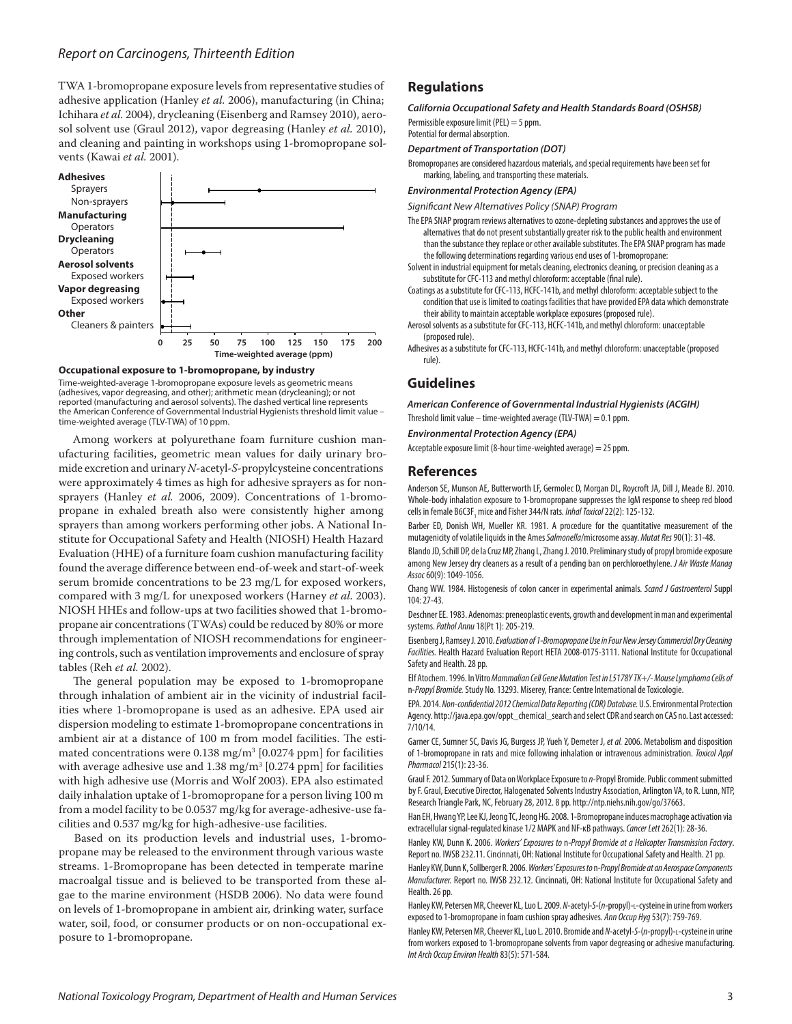TWA 1-bromopropane exposure levels from representative studies of adhesive application (Hanley *et al.* 2006), manufacturing (in China; Ichihara *et al.* 2004), drycleaning (Eisenberg and Ramsey 2010), aerosol solvent use (Graul 2012), vapor degreasing (Hanley *et al.* 2010), and cleaning and painting in workshops using 1-bromopropane solvents (Kawai *et al.* 2001).



#### **Occupational exposure to 1-bromopropane, by industry**

Time-weighted-average 1-bromopropane exposure levels as geometric means (adhesives, vapor degreasing, and other); arithmetic mean (drycleaning); or not reported (manufacturing and aerosol solvents). The dashed vertical line represents the American Conference of Governmental Industrial Hygienists threshold limit value – time-weighted average (TLV-TWA) of 10 ppm.

Among workers at polyurethane foam furniture cushion manufacturing facilities, geometric mean values for daily urinary bromide excretion and urinary *N*-acetyl-*S*-propylcysteine concentrations were approximately 4 times as high for adhesive sprayers as for nonsprayers (Hanley *et al.* 2006, 2009). Concentrations of 1-bromopropane in exhaled breath also were consistently higher among sprayers than among workers performing other jobs. A National Institute for Occupational Safety and Health (NIOSH) Health Hazard Evaluation (HHE) of a furniture foam cushion manufacturing facility found the average difference between end-of-week and start-of-week serum bromide concentrations to be 23 mg/L for exposed workers, compared with 3 mg/L for unexposed workers (Harney *et al.* 2003). NIOSH HHEs and follow-ups at two facilities showed that 1-bromopropane air concentrations (TWAs) could be reduced by 80% or more through implementation of NIOSH recommendations for engineering controls, such as ventilation improvements and enclosure of spray tables (Reh *et al.* 2002).

The general population may be exposed to 1-bromopropane through inhalation of ambient air in the vicinity of industrial facilities where 1-bromopropane is used as an adhesive. EPA used air dispersion modeling to estimate 1-bromopropane concentrations in ambient air at a distance of 100 m from model facilities. The estimated concentrations were  $0.138 \text{ mg/m}^3$  [0.0274 ppm] for facilities with average adhesive use and  $1.38 \text{ mg/m}^3$  [0.274 ppm] for facilities with high adhesive use (Morris and Wolf 2003). EPA also estimated daily inhalation uptake of 1-bromopropane for a person living 100 m from a model facility to be 0.0537 mg/kg for average-adhesive-use facilities and 0.537 mg/kg for high-adhesive-use facilities.

Based on its production levels and industrial uses, 1-bromopropane may be released to the environment through various waste streams. 1-Bromopropane has been detected in temperate marine macroalgal tissue and is believed to be transported from these algae to the marine environment (HSDB 2006). No data were found on levels of 1-bromopropane in ambient air, drinking water, surface water, soil, food, or consumer products or on non-occupational exposure to 1-bromopropane.

## **Regulations**

*California Occupational Safety and Health Standards Board (OSHSB)* Permissible exposure limit (PEL) = 5 ppm.

Potential for dermal absorption.

#### *Department of Transportation (DOT)*

Bromopropanes are considered hazardous materials, and special requirements have been set for marking, labeling, and transporting these materials.

#### *Environmental Protection Agency (EPA)*

*Significant New Alternatives Policy (SNAP) Program*

- The EPA SNAP program reviews alternatives to ozone-depleting substances and approves the use of alternatives that do not present substantially greater risk to the public health and environment than the substance they replace or other available substitutes. The EPA SNAP program has made the following determinations regarding various end uses of 1-bromopropane:
- Solvent in industrial equipment for metals cleaning, electronics cleaning, or precision cleaning as a substitute for CFC-113 and methyl chloroform: acceptable (final rule).
- Coatings as a substitute for CFC-113, HCFC-141b, and methyl chloroform: acceptable subject to the condition that use is limited to coatings facilities that have provided EPA data which demonstrate their ability to maintain acceptable workplace exposures (proposed rule).
- Aerosol solvents as a substitute for CFC-113, HCFC-141b, and methyl chloroform: unacceptable (proposed rule).
- Adhesives as a substitute for CFC-113, HCFC-141b, and methyl chloroform: unacceptable (proposed rule).

## **Guidelines**

*American Conference of Governmental Industrial Hygienists (ACGIH)*

Threshold limit value – time-weighted average (TLV-TWA) =  $0.1$  ppm.

*Environmental Protection Agency (EPA)*

Acceptable exposure limit (8-hour time-weighted average) = 25 ppm.

### **References**

Anderson SE, Munson AE, Butterworth LF, Germolec D, Morgan DL, Roycroft JA, Dill J, Meade BJ. 2010. Whole-body inhalation exposure to 1-bromopropane suppresses the IgM response to sheep red blood cells in female B6C3F<sub>1</sub> mice and Fisher 344/N rats. *Inhal Toxicol* 22(2): 125-132.

Barber ED, Donish WH, Mueller KR. 1981. A procedure for the quantitative measurement of the mutagenicity of volatile liquids in the Ames *Salmonella*/microsome assay. *Mutat Res* 90(1): 31-48.

Blando JD, Schill DP, de la Cruz MP, Zhang L, Zhang J. 2010. Preliminary study of propyl bromide exposure among New Jersey dry cleaners as a result of a pending ban on perchloroethylene. *J Air Waste Manag Assoc* 60(9): 1049-1056.

Chang WW. 1984. Histogenesis of colon cancer in experimental animals. *Scand J Gastroenterol* Suppl 104: 27-43.

Deschner EE. 1983. Adenomas: preneoplastic events, growth and development in man and experimental systems. *Pathol Annu* 18(Pt 1): 205-219.

Eisenberg J, Ramsey J. 2010. *Evaluation of 1-Bromopropane Use in Four New Jersey Commercial Dry Cleaning Facilities.* Health Hazard Evaluation Report HETA 2008-0175-3111. National Institute for Occupational Safety and Health. 28 pp.

Elf Atochem. 1996. In Vitro *Mammalian Cell Gene Mutation Test in L5178Y TK+/- Mouse Lymphoma Cells of*  n*-Propyl Bromide.* Study No. 13293. Miserey, France: Centre International de Toxicologie.

EPA. 2014. *Non-confidential 2012 Chemical Data Reporting (CDR) Database.* U.S. Environmental Protection Agency. http://java.epa.gov/oppt\_chemical\_search and select CDR and search on CAS no. Last accessed: 7/10/14.

Garner CE, Sumner SC, Davis JG, Burgess JP, Yueh Y, Demeter J, *et al.* 2006. Metabolism and disposition of 1-bromopropane in rats and mice following inhalation or intravenous administration. *Toxicol Appl Pharmacol* 215(1): 23-36.

Graul F. 2012. Summary of Data on Workplace Exposure to *n*-Propyl Bromide. Public comment submitted by F. Graul, Executive Director, Halogenated Solvents Industry Association, Arlington VA, to R. Lunn, NTP, Research Triangle Park, NC, February 28, 2012. 8 pp. http://ntp.niehs.nih.gov/go/37663.

Han EH, Hwang YP, Lee KJ, Jeong TC, Jeong HG. 2008. 1-Bromopropane induces macrophage activation via extracellular signal-regulated kinase 1/2 MAPK and NF-κB pathways. *Cancer Lett* 262(1): 28-36.

Hanley KW, Dunn K. 2006. *Workers' Exposures to* n*-Propyl Bromide at a Helicopter Transmission Factory*. Report no. IWSB 232.11. Cincinnati, OH: National Institute for Occupational Safety and Health. 21 pp.

Hanley KW, Dunn K, Sollberger R. 2006. *Workers' Exposures to* n*-Propyl Bromide at an Aerospace Components Manufacturer.* Report no. IWSB 232.12. Cincinnati, OH: National Institute for Occupational Safety and Health. 26 pp.

Hanley KW, Petersen MR, Cheever KL, Luo L. 2009. *N*-acetyl-*S*-(*n*-propyl)-l-cysteine in urine from workers exposed to 1-bromopropane in foam cushion spray adhesives. *Ann Occup Hyg* 53(7): 759-769.

Hanley KW, Petersen MR, Cheever KL, Luo L. 2010. Bromide and *N*-acetyl-*S*-(*n*-propyl)-l-cysteine in urine from workers exposed to 1-bromopropane solvents from vapor degreasing or adhesive manufacturing. *Int Arch Occup Environ Health* 83(5): 571-584.